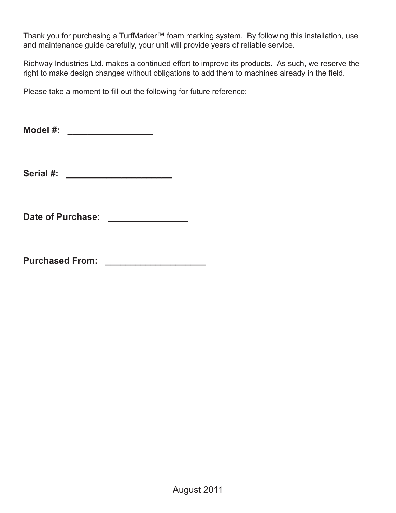Thank you for purchasing a TurfMarker™ foam marking system. By following this installation, use and maintenance guide carefully, your unit will provide years of reliable service.

Richway Industries Ltd. makes a continued effort to improve its products. As such, we reserve the right to make design changes without obligations to add them to machines already in the field.

Please take a moment to fill out the following for future reference:

**Model #: \_\_\_\_\_\_\_\_\_\_\_\_\_\_\_\_\_** 

**Serial #: \_\_\_\_\_\_\_\_\_\_\_\_\_\_\_\_\_\_\_\_\_** 

Date of Purchase: \_\_\_\_\_\_\_\_\_\_\_\_\_\_\_\_

**Purchased From: \_\_\_\_\_\_\_\_\_\_\_\_\_\_\_\_\_\_\_\_**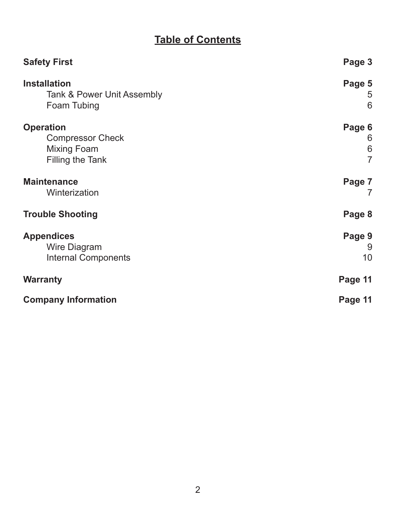# **Table of Contents**

| <b>Safety First</b>        | Page 3          |
|----------------------------|-----------------|
| <b>Installation</b>        | Page 5          |
| Tank & Power Unit Assembly | 5               |
| Foam Tubing                | 6               |
| <b>Operation</b>           | Page 6          |
| <b>Compressor Check</b>    | 6               |
| <b>Mixing Foam</b>         | $6\phantom{1}6$ |
| Filling the Tank           | $\overline{7}$  |
| <b>Maintenance</b>         | Page 7          |
| Winterization              | 7               |
| <b>Trouble Shooting</b>    | Page 8          |
| <b>Appendices</b>          | Page 9          |
| Wire Diagram               | 9               |
| <b>Internal Components</b> | 10              |
| <b>Warranty</b>            | Page 11         |
| <b>Company Information</b> | Page 11         |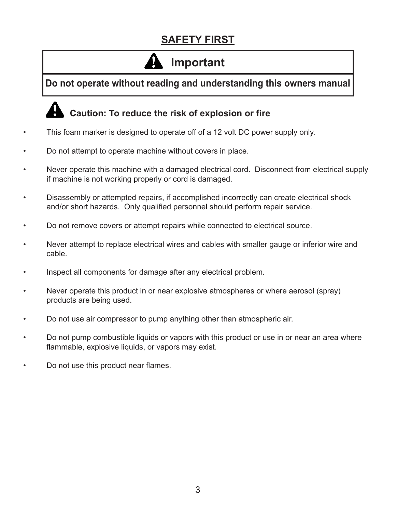# **SAFETY FIRST**

# **Important**

**Do not operate without reading and understanding this owners manual**

# **Caution: To reduce the risk of explosion or fire**

- This foam marker is designed to operate off of a 12 volt DC power supply only.
- Do not attempt to operate machine without covers in place.
- Never operate this machine with a damaged electrical cord. Disconnect from electrical supply if machine is not working properly or cord is damaged.
- Disassembly or attempted repairs, if accomplished incorrectly can create electrical shock and/or short hazards. Only qualified personnel should perform repair service.
- Do not remove covers or attempt repairs while connected to electrical source.
- Never attempt to replace electrical wires and cables with smaller gauge or inferior wire and cable.
- Inspect all components for damage after any electrical problem.
- Never operate this product in or near explosive atmospheres or where aerosol (spray) products are being used.
- Do not use air compressor to pump anything other than atmospheric air.
- Do not pump combustible liquids or vapors with this product or use in or near an area where flammable, explosive liquids, or vapors may exist.
- Do not use this product near flames.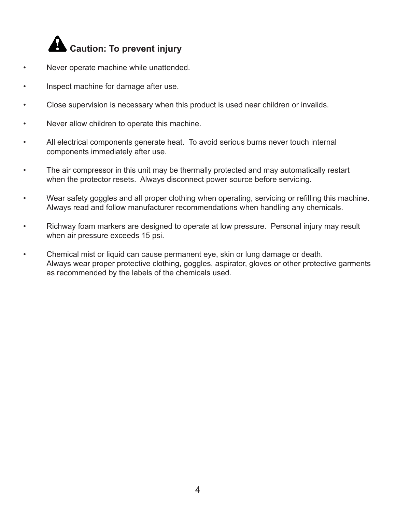

- Never operate machine while unattended.
- Inspect machine for damage after use.
- Close supervision is necessary when this product is used near children or invalids.
- Never allow children to operate this machine.
- All electrical components generate heat. To avoid serious burns never touch internal components immediately after use.
- The air compressor in this unit may be thermally protected and may automatically restart when the protector resets. Always disconnect power source before servicing.
- Wear safety goggles and all proper clothing when operating, servicing or refilling this machine. Always read and follow manufacturer recommendations when handling any chemicals.
- Richway foam markers are designed to operate at low pressure. Personal injury may result when air pressure exceeds 15 psi.
- Chemical mist or liquid can cause permanent eye, skin or lung damage or death. Always wear proper protective clothing, goggles, aspirator, gloves or other protective garments as recommended by the labels of the chemicals used.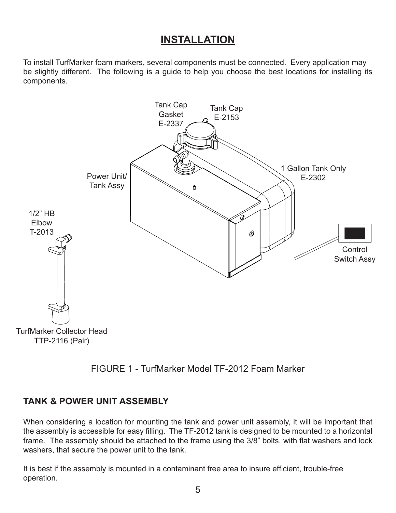## **INSTALLATION**

To install TurfMarker foam markers, several components must be connected. Every application may be slightly different. The following is a guide to help you choose the best locations for installing its components.





#### **TANK & POWER UNIT ASSEMBLY**

When considering a location for mounting the tank and power unit assembly, it will be important that the assembly is accessible for easy filling. The TF-2012 tank is designed to be mounted to a horizontal frame. The assembly should be attached to the frame using the 3/8" bolts, with flat washers and lock washers, that secure the power unit to the tank.

It is best if the assembly is mounted in a contaminant free area to insure efficient, trouble-free operation.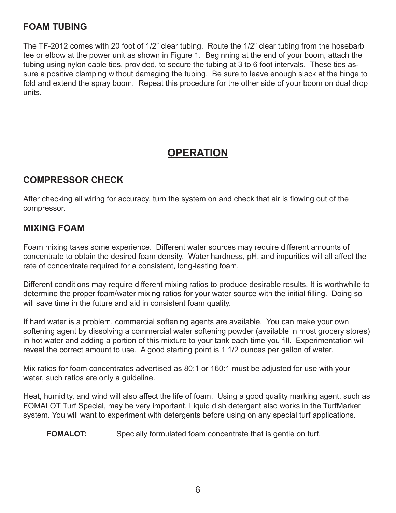## **FOAM TUBING**

The TF-2012 comes with 20 foot of 1/2" clear tubing. Route the 1/2" clear tubing from the hosebarb tee or elbow at the power unit as shown in Figure 1. Beginning at the end of your boom, attach the tubing using nylon cable ties, provided, to secure the tubing at 3 to 6 foot intervals. These ties assure a positive clamping without damaging the tubing. Be sure to leave enough slack at the hinge to fold and extend the spray boom. Repeat this procedure for the other side of your boom on dual drop units.

## **OPERATION**

## **COMPRESSOR CHECK**

After checking all wiring for accuracy, turn the system on and check that air is flowing out of the compressor.

#### **MIXING FOAM**

Foam mixing takes some experience. Different water sources may require different amounts of concentrate to obtain the desired foam density. Water hardness, pH, and impurities will all affect the rate of concentrate required for a consistent, long-lasting foam.

Different conditions may require different mixing ratios to produce desirable results. It is worthwhile to determine the proper foam/water mixing ratios for your water source with the initial filling. Doing so will save time in the future and aid in consistent foam quality.

If hard water is a problem, commercial softening agents are available. You can make your own softening agent by dissolving a commercial water softening powder (available in most grocery stores) in hot water and adding a portion of this mixture to your tank each time you fill. Experimentation will reveal the correct amount to use. A good starting point is 1 1/2 ounces per gallon of water.

Mix ratios for foam concentrates advertised as 80:1 or 160:1 must be adjusted for use with your water, such ratios are only a guideline.

Heat, humidity, and wind will also affect the life of foam. Using a good quality marking agent, such as FOMALOT Turf Special, may be very important. Liquid dish detergent also works in the TurfMarker system. You will want to experiment with detergents before using on any special turf applications.

**FOMALOT:** Specially formulated foam concentrate that is gentle on turf.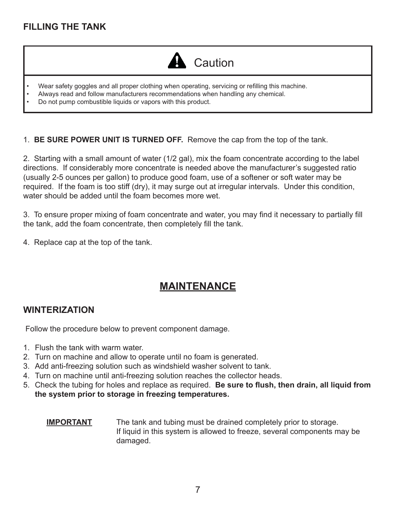## **FILLING THE TANK**



- Wear safety goggles and all proper clothing when operating, servicing or refilling this machine. •
- Always read and follow manufacturers recommendations when handling any chemical. •
- Do not pump combustible liquids or vapors with this product. •

1. **BE SURE POWER UNIT IS TURNED OFF.** Remove the cap from the top of the tank.

2. Starting with a small amount of water (1/2 gal), mix the foam concentrate according to the label directions. If considerably more concentrate is needed above the manufacturer's suggested ratio (usually 2-5 ounces per gallon) to produce good foam, use of a softener or soft water may be required. If the foam is too stiff (dry), it may surge out at irregular intervals. Under this condition, water should be added until the foam becomes more wet.

3. To ensure proper mixing of foam concentrate and water, you may find it necessary to partially fill the tank, add the foam concentrate, then completely fill the tank.

4. Replace cap at the top of the tank.

## **MAINTENANCE**

#### **WINTERIZATION**

Follow the procedure below to prevent component damage.

- 1. Flush the tank with warm water.
- 2. Turn on machine and allow to operate until no foam is generated.
- Add anti-freezing solution such as windshield washer solvent to tank. 3.
- Turn on machine until anti-freezing solution reaches the collector heads. 4.
- 5. Check the tubing for holes and replace as required. Be sure to flush, then drain, all liquid from **the system prior to storage in freezing temperatures.**

#### **IMPORTANT** The tank and tubing must be drained completely prior to storage. If liquid in this system is allowed to freeze, several components may be damaged.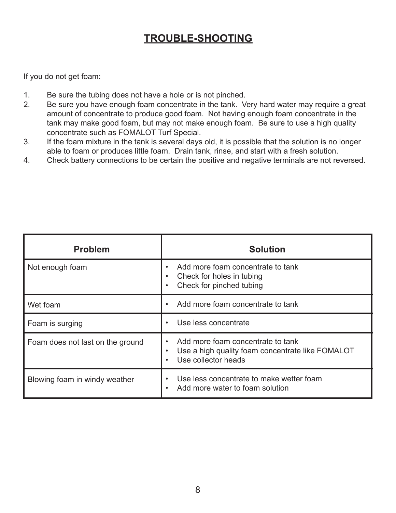# **TROUBLE-SHOOTING**

If you do not get foam:

- 1. Be sure the tubing does not have a hole or is not pinched.
- 2. Be sure you have enough foam concentrate in the tank. Very hard water may require a great amount of concentrate to produce good foam. Not having enough foam concentrate in the tank may make good foam, but may not make enough foam. Be sure to use a high quality concentrate such as FOMALOT Turf Special.
- 3. If the foam mixture in the tank is several days old, it is possible that the solution is no longer able to foam or produces little foam. Drain tank, rinse, and start with a fresh solution.
- 4. Check battery connections to be certain the positive and negative terminals are not reversed.

| <b>Problem</b>                   | <b>Solution</b>                                                                                              |
|----------------------------------|--------------------------------------------------------------------------------------------------------------|
| Not enough foam                  | Add more foam concentrate to tank<br>Check for holes in tubing<br>Check for pinched tubing                   |
| Wet foam                         | Add more foam concentrate to tank                                                                            |
| Foam is surging                  | Use less concentrate                                                                                         |
| Foam does not last on the ground | Add more foam concentrate to tank<br>Use a high quality foam concentrate like FOMALOT<br>Use collector heads |
| Blowing foam in windy weather    | Use less concentrate to make wetter foam<br>Add more water to foam solution                                  |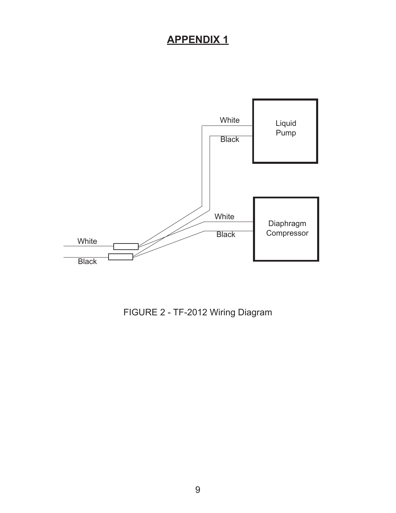# **APPENDIX 1**



FIGURE 2 - TF-2012 Wiring Diagram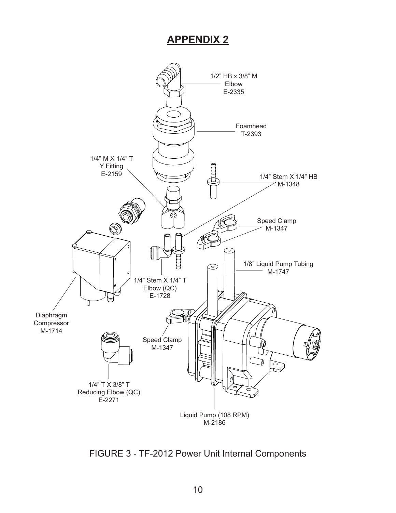## **APPENDIX 2**



FIGURE 3 - TF-2012 Power Unit Internal Components